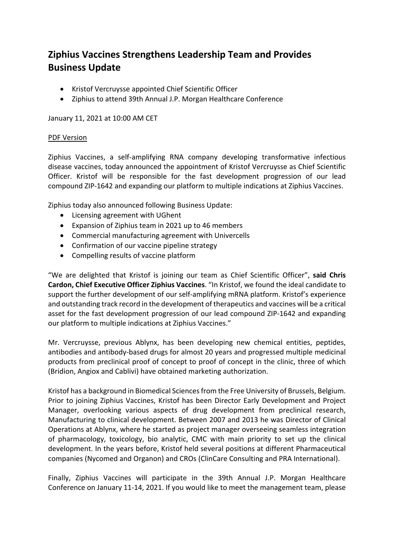## **Ziphius Vaccines Strengthens Leadership Team and Provides Business Update**

- Kristof Vercruysse appointed Chief Scientific Officer
- Ziphius to attend 39th Annual J.P. Morgan Healthcare Conference

January 11, 2021 at 10:00 AM CET

## PDF Version

Ziphius Vaccines, a self-amplifying RNA company developing transformative infectious disease vaccines, today announced the appointment of Kristof Vercruysse as Chief Scientific Officer. Kristof will be responsible for the fast development progression of our lead compound ZIP-1642 and expanding our platform to multiple indications at Ziphius Vaccines.

Ziphius today also announced following Business Update:

- Licensing agreement with UGhent
- Expansion of Ziphius team in 2021 up to 46 members
- Commercial manufacturing agreement with Univercells
- Confirmation of our vaccine pipeline strategy
- Compelling results of vaccine platform

"We are delighted that Kristof is joining our team as Chief Scientific Officer", **said Chris Cardon, Chief Executive Officer Ziphius Vaccines**. "In Kristof, we found the ideal candidate to support the further development of our self-amplifying mRNA platform. Kristof's experience and outstanding track record in the development of therapeutics and vaccines will be a critical asset for the fast development progression of our lead compound ZIP-1642 and expanding our platform to multiple indications at Ziphius Vaccines."

Mr. Vercruysse, previous Ablynx, has been developing new chemical entities, peptides, antibodies and antibody-based drugs for almost 20 years and progressed multiple medicinal products from preclinical proof of concept to proof of concept in the clinic, three of which (Bridion, Angiox and Cablivi) have obtained marketing authorization.

Kristof has a background in Biomedical Sciences from the Free University of Brussels, Belgium. Prior to joining Ziphius Vaccines, Kristof has been Director Early Development and Project Manager, overlooking various aspects of drug development from preclinical research, Manufacturing to clinical development. Between 2007 and 2013 he was Director of Clinical Operations at Ablynx, where he started as project manager overseeing seamless integration of pharmacology, toxicology, bio analytic, CMC with main priority to set up the clinical development. In the years before, Kristof held several positions at different Pharmaceutical companies (Nycomed and Organon) and CROs (ClinCare Consulting and PRA International).

Finally, Ziphius Vaccines will participate in the 39th Annual J.P. Morgan Healthcare Conference on January 11-14, 2021. If you would like to meet the management team, please